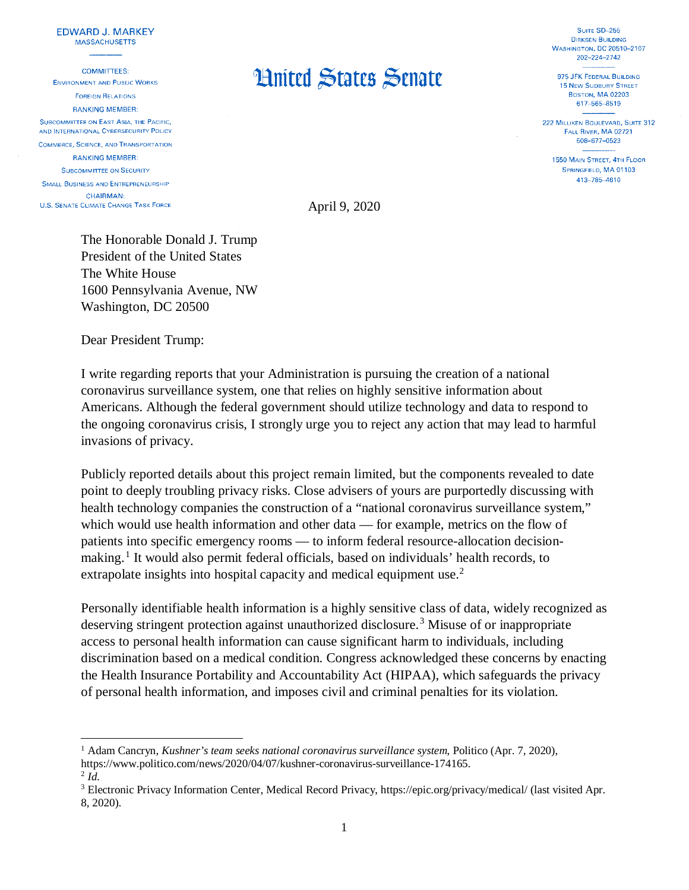## **EDWARD J. MARKEY MASSACHUSETTS**

**COMMITTEES:** 

**ENVIRONMENT AND PUBLIC WORKS FOREIGN RELATIONS RANKING MEMBER:** SUBCOMMITTEE ON EAST ASIA, THE PACIFIC. AND INTERNATIONAL CYBERSECURITY POLICY **COMMERCE, SCIENCE, AND TRANSPORTATION RANKING MEMBER: SUBCOMMITTEE ON SECURITY** 

SMALL BUSINESS AND ENTREPRENEURSHIP **CHAIRMAN: U.S. SENATE CLIMATE CHANGE TASK FORCE** 

 $\overline{\phantom{a}}$ 

## **Hnited States Senate**

SUITE SD-255 **DIRKSEN BUILDING WASHINGTON, DC 20510-2107** 202-224-2742

975 JFK FEDERAL BUILDING **15 NEW SUDBURY STREET BOSTON, MA 02203** 617-565-8519

222 MILLIKEN BOULEVARD, SUITE 312 FALL RIVER, MA 02721 508-677-0523

1550 MAIN STREET, 4TH FLOOR SPRINGFIELD, MA 01103 413-785-4610

April 9, 2020

The Honorable Donald J. Trump President of the United States The White House 1600 Pennsylvania Avenue, NW Washington, DC 20500

Dear President Trump:

I write regarding reports that your Administration is pursuing the creation of a national coronavirus surveillance system, one that relies on highly sensitive information about Americans. Although the federal government should utilize technology and data to respond to the ongoing coronavirus crisis, I strongly urge you to reject any action that may lead to harmful invasions of privacy.

Publicly reported details about this project remain limited, but the components revealed to date point to deeply troubling privacy risks. Close advisers of yours are purportedly discussing with health technology companies the construction of a "national coronavirus surveillance system," which would use health information and other data — for example, metrics on the flow of patients into specific emergency rooms — to inform federal resource-allocation decision-making.<sup>[1](#page-0-0)</sup> It would also permit federal officials, based on individuals' health records, to extrapolate insights into hospital capacity and medical equipment use.<sup>[2](#page-0-1)</sup>

Personally identifiable health information is a highly sensitive class of data, widely recognized as deserving stringent protection against unauthorized disclosure.<sup>[3](#page-0-2)</sup> Misuse of or inappropriate access to personal health information can cause significant harm to individuals, including discrimination based on a medical condition. Congress acknowledged these concerns by enacting the Health Insurance Portability and Accountability Act (HIPAA), which safeguards the privacy of personal health information, and imposes civil and criminal penalties for its violation.

<span id="page-0-0"></span><sup>1</sup> Adam Cancryn, *Kushner's team seeks national coronavirus surveillance system*, Politico (Apr. 7, 2020), [https://www.politico.com/news/2020/04/07/kushner-coronavirus-surveillance-174165.](https://www.politico.com/news/2020/04/07/kushner-coronavirus-surveillance-174165) [2](https://www.politico.com/news/2020/04/07/kushner-coronavirus-surveillance-174165) *Id.* 

<span id="page-0-2"></span><span id="page-0-1"></span><sup>&</sup>lt;sup>3</sup> Electronic Privacy Information Center, Medical Record Privacy,<https://epic.org/privacy/medical/> (last visited Apr. 8, 2020).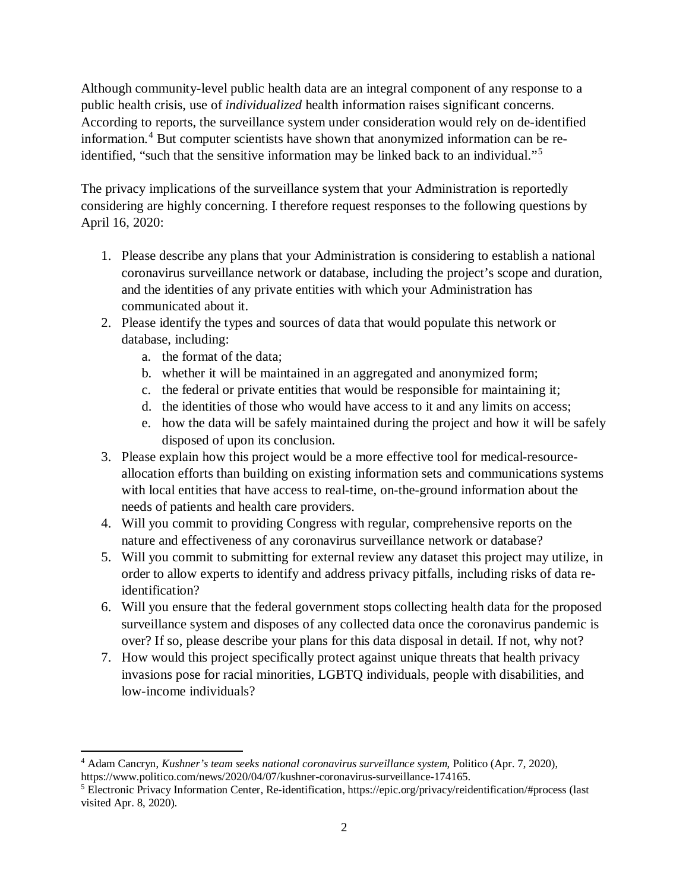Although community-level public health data are an integral component of any response to a public health crisis, use of *individualized* health information raises significant concerns. According to reports, the surveillance system under consideration would rely on de-identified information.[4](#page-1-0) But computer scientists have shown that anonymized information can be reidentified, "such that the sensitive information may be linked back to an individual."[5](#page-1-1)

The privacy implications of the surveillance system that your Administration is reportedly considering are highly concerning. I therefore request responses to the following questions by April 16, 2020:

- 1. Please describe any plans that your Administration is considering to establish a national coronavirus surveillance network or database, including the project's scope and duration, and the identities of any private entities with which your Administration has communicated about it.
- 2. Please identify the types and sources of data that would populate this network or database, including:
	- a. the format of the data;

l

- b. whether it will be maintained in an aggregated and anonymized form;
- c. the federal or private entities that would be responsible for maintaining it;
- d. the identities of those who would have access to it and any limits on access;
- e. how the data will be safely maintained during the project and how it will be safely disposed of upon its conclusion.
- 3. Please explain how this project would be a more effective tool for medical-resourceallocation efforts than building on existing information sets and communications systems with local entities that have access to real-time, on-the-ground information about the needs of patients and health care providers.
- 4. Will you commit to providing Congress with regular, comprehensive reports on the nature and effectiveness of any coronavirus surveillance network or database?
- 5. Will you commit to submitting for external review any dataset this project may utilize, in order to allow experts to identify and address privacy pitfalls, including risks of data reidentification?
- 6. Will you ensure that the federal government stops collecting health data for the proposed surveillance system and disposes of any collected data once the coronavirus pandemic is over? If so, please describe your plans for this data disposal in detail. If not, why not?
- 7. How would this project specifically protect against unique threats that health privacy invasions pose for racial minorities, LGBTQ individuals, people with disabilities, and low-income individuals?

<span id="page-1-0"></span><sup>4</sup> Adam Cancryn, *Kushner's team seeks national coronavirus surveillance system*, Politico (Apr. 7, 2020), [https://www.politico.com/news/2020/04/07/kushner-coronavirus-surveillance-174165.](https://www.politico.com/news/2020/04/07/kushner-coronavirus-surveillance-174165)

<span id="page-1-1"></span><sup>5</sup> Electronic Privacy Information Center, Re-identification,<https://epic.org/privacy/reidentification/#process> (last visited Apr. 8, 2020).